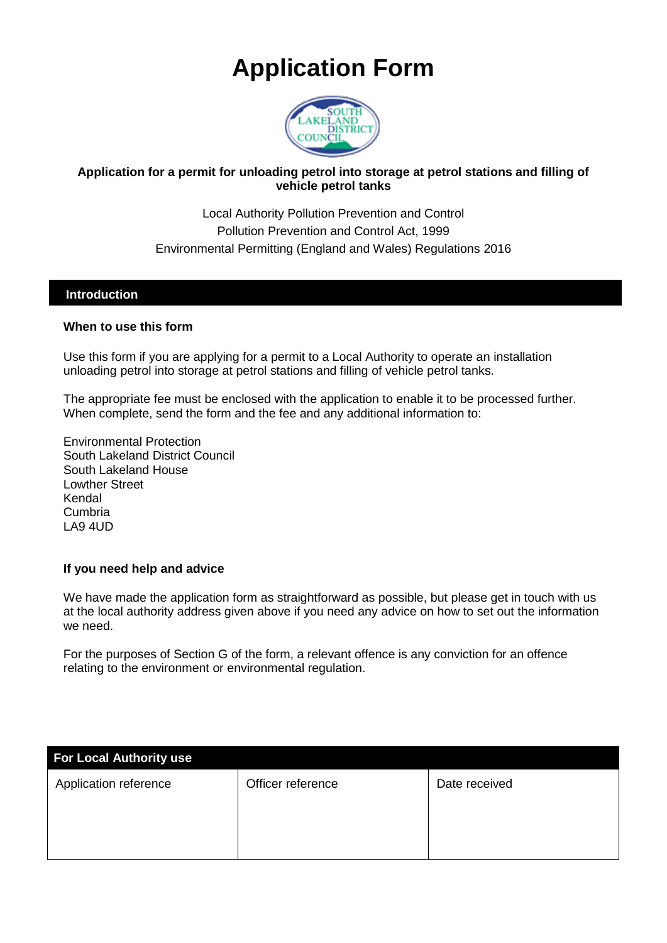# **Application Form**



#### **Application for a permit for unloading petrol into storage at petrol stations and filling of vehicle petrol tanks**

Local Authority Pollution Prevention and Control Pollution Prevention and Control Act, 1999 Environmental Permitting (England and Wales) Regulations 2016

#### **Introduction**

#### **When to use this form**

Use this form if you are applying for a permit to a Local Authority to operate an installation unloading petrol into storage at petrol stations and filling of vehicle petrol tanks.

The appropriate fee must be enclosed with the application to enable it to be processed further. When complete, send the form and the fee and any additional information to:

Environmental Protection South Lakeland District Council South Lakeland House Lowther Street Kendal Cumbria LA9 4UD

#### **If you need help and advice**

We have made the application form as straightforward as possible, but please get in touch with us at the local authority address given above if you need any advice on how to set out the information we need.

For the purposes of Section G of the form, a relevant offence is any conviction for an offence relating to the environment or environmental regulation.

| <b>For Local Authority use</b> |                   |               |
|--------------------------------|-------------------|---------------|
| Application reference          | Officer reference | Date received |
|                                |                   |               |
|                                |                   |               |
|                                |                   |               |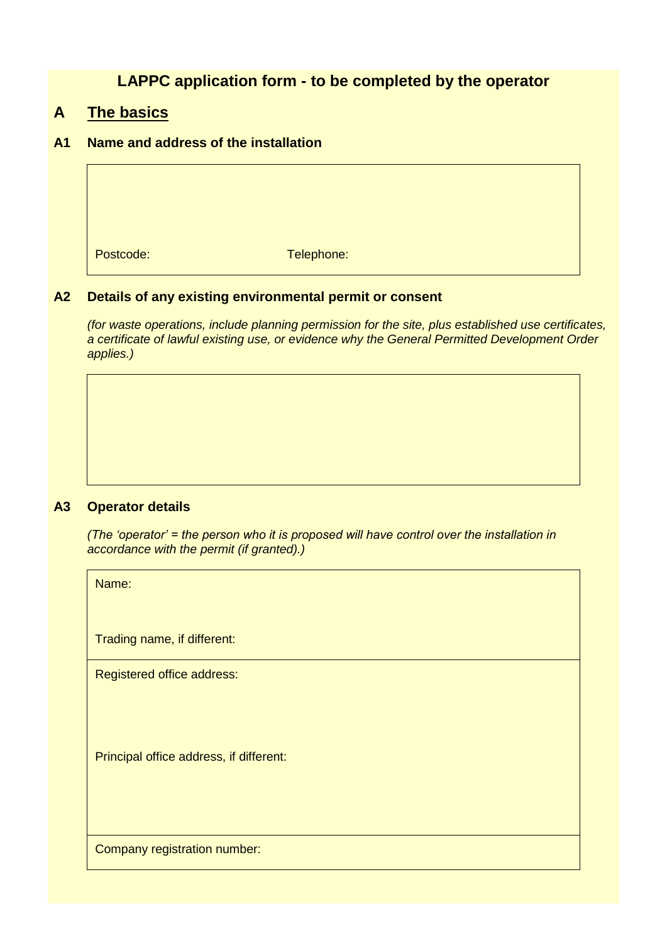# **LAPPC application form - to be completed by the operator**

### **A The basics**

#### **A1 Name and address of the installation**

Postcode: Telephone:

#### **A2 Details of any existing environmental permit or consent**

*(for waste operations, include planning permission for the site, plus established use certificates, a certificate of lawful existing use, or evidence why the General Permitted Development Order applies.)*

#### **A3 Operator details**

*(The 'operator' = the person who it is proposed will have control over the installation in accordance with the permit (if granted).)*

Name:

Trading name, if different:

Registered office address:

Principal office address, if different:

Company registration number: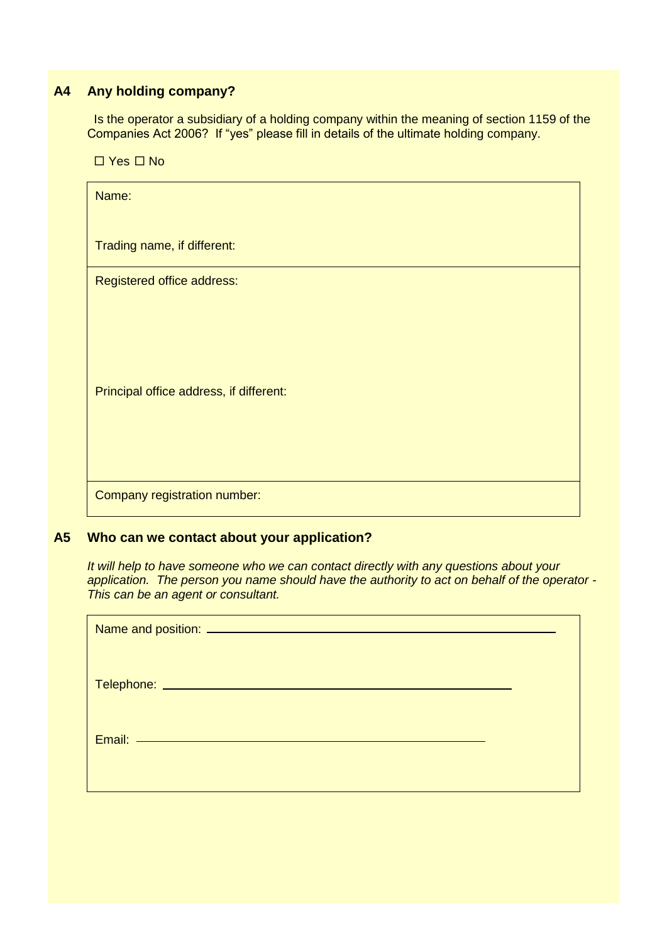## **A4 Any holding company?**

Is the operator a subsidiary of a holding company within the meaning of section 1159 of the Companies Act 2006? If "yes" please fill in details of the ultimate holding company.

 $\Box$  Yes  $\Box$  No

| Name:                                   |
|-----------------------------------------|
| Trading name, if different:             |
| Registered office address:              |
| Principal office address, if different: |
| Company registration number:            |

#### **A5 Who can we contact about your application?**

*It will help to have someone who we can contact directly with any questions about your application. The person you name should have the authority to act on behalf of the operator - This can be an agent or consultant.*

| Email: Email: Email: Email: Email: Email: Email: Email: Email: Email: Email: Email: Email: Email: Email: Email: Email: Email: Email: Email: Email: Email: Email: Email: Email: Email: Email: Email: Email: Email: Email: Email |  |
|--------------------------------------------------------------------------------------------------------------------------------------------------------------------------------------------------------------------------------|--|
|                                                                                                                                                                                                                                |  |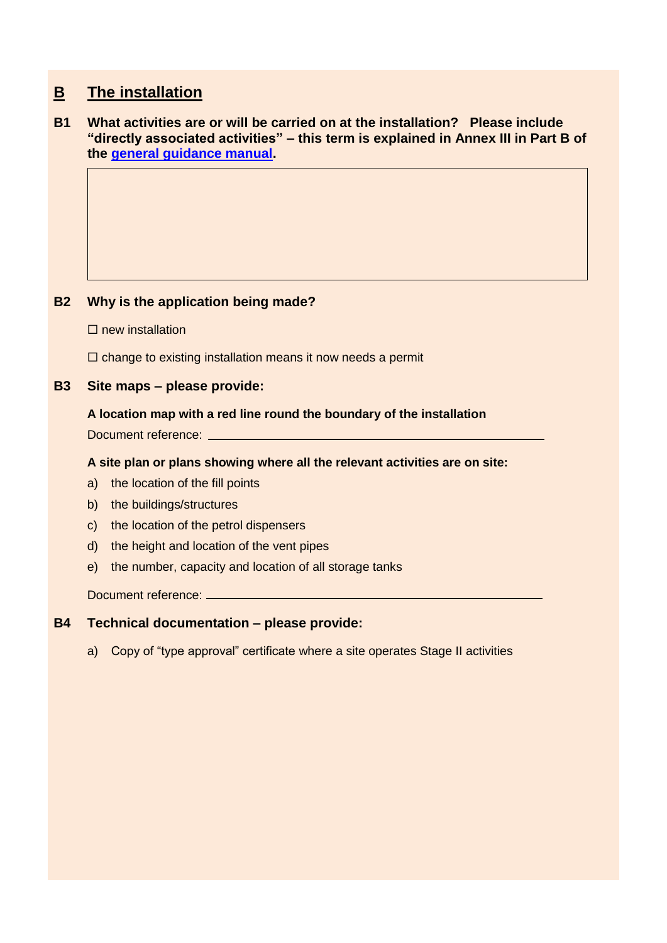# **B The installation**

#### **B1 What activities are or will be carried on at the installation? Please include "directly associated activities" – this term is explained in Annex III in Part B of the [general guidance manual.](http://www.defra.gov.uk/environment/quality/industrial/las-regulations/guidance/)**

#### **B2 Why is the application being made?**

 $\Box$  new installation

 $\square$  change to existing installation means it now needs a permit

#### **B3 Site maps – please provide:**

#### **A location map with a red line round the boundary of the installation**

Document reference: \_

#### **A site plan or plans showing where all the relevant activities are on site:**

- a) the location of the fill points
- b) the buildings/structures
- c) the location of the petrol dispensers
- d) the height and location of the vent pipes
- e) the number, capacity and location of all storage tanks

Document reference:

#### **B4 Technical documentation – please provide:**

a) Copy of "type approval" certificate where a site operates Stage II activities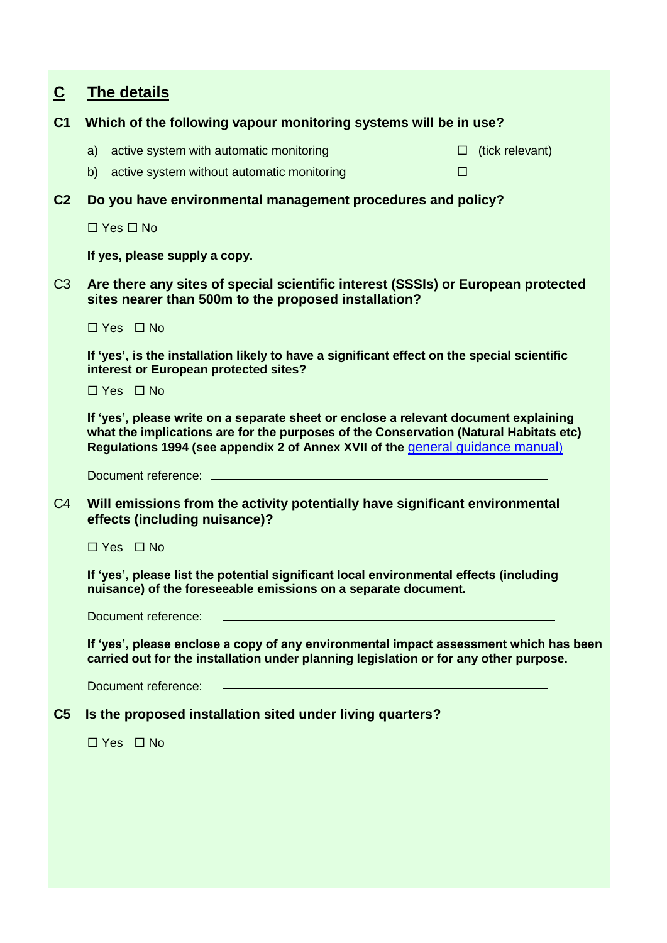# **C The details**

#### **C1 Which of the following vapour monitoring systems will be in use?**

- a) active system with automatic monitoring  $\Box$  (tick relevant)
- b) active system without automatic monitoring
- **C2 Do you have environmental management procedures and policy?**

 $\Box$  Yes  $\Box$  No

**If yes, please supply a copy.**

C3 **Are there any sites of special scientific interest (SSSIs) or European protected sites nearer than 500m to the proposed installation?**

 $\Box$  Yes  $\Box$  No

**If 'yes', is the installation likely to have a significant effect on the special scientific interest or European protected sites?**

 $\Box$  Yes  $\Box$  No

**If 'yes', please write on a separate sheet or enclose a relevant document explaining what the implications are for the purposes of the Conservation (Natural Habitats etc) Regulations 1994 (see appendix 2 of Annex XVII of the** [general guidance manual](http://www.defra.gov.uk/environment/quality/industrial/las-regulations/guidance/))

Document reference:

C4 **Will emissions from the activity potentially have significant environmental effects (including nuisance)?**

 $\Box$  Yes  $\Box$  No

**If 'yes', please list the potential significant local environmental effects (including nuisance) of the foreseeable emissions on a separate document.**

Document reference:

**If 'yes', please enclose a copy of any environmental impact assessment which has been carried out for the installation under planning legislation or for any other purpose.** 

Document reference:

### **C5 Is the proposed installation sited under living quarters?**

 $\Box$  Yes  $\Box$  No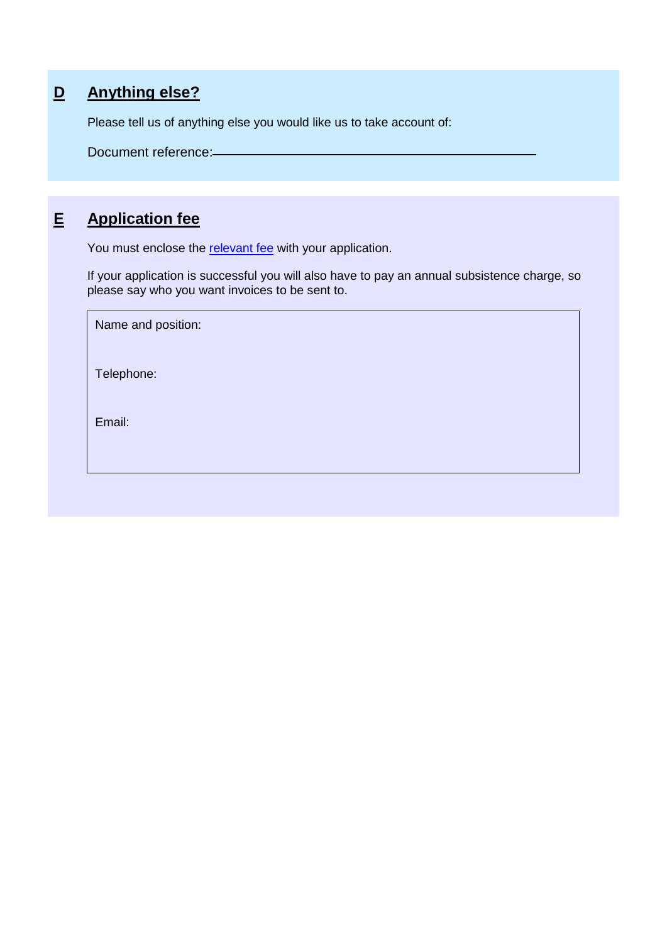# **D Anything else?**

Please tell us of anything else you would like us to take account of:

Document reference:

# **E Application fee**

You must enclose the [relevant fee](http://www.defra.gov.uk/environment/quality/industrial/las-regulations/charges-risk/) with your application.

If your application is successful you will also have to pay an annual subsistence charge, so please say who you want invoices to be sent to.

| Name and position: |  |
|--------------------|--|
| Telephone:         |  |
| Email:             |  |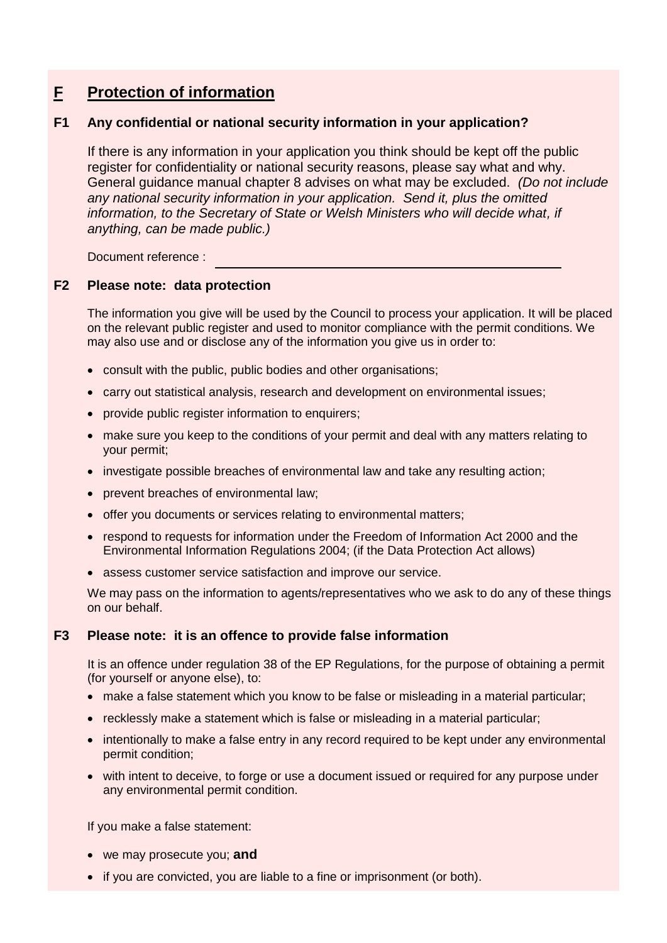# **F Protection of information**

#### **F1 Any confidential or national security information in your application?**

If there is any information in your application you think should be kept off the public register for confidentiality or national security reasons, please say what and why. [General guidance manual](http://www.defra.gov.uk/environment/quality/industrial/las-regulations/guidance/) chapter 8 advises on what may be excluded. *(Do not include any national security information in your application. Send it, plus the omitted*  information, to the Secretary of State or Welsh Ministers who will decide what, if *anything, can be made public.)*

Document reference :

#### **F2 Please note: data protection**

The information you give will be used by the Council to process your application. It will be placed on the relevant public register and used to monitor compliance with the permit conditions. We may also use and or disclose any of the information you give us in order to:

- consult with the public, public bodies and other organisations;
- carry out statistical analysis, research and development on environmental issues;
- provide public register information to enquirers;
- make sure you keep to the conditions of your permit and deal with any matters relating to your permit;
- investigate possible breaches of environmental law and take any resulting action;
- prevent breaches of environmental law;
- offer you documents or services relating to environmental matters;
- respond to requests for information under the Freedom of Information Act 2000 and the Environmental Information Regulations 2004; (if the Data Protection Act allows)
- assess customer service satisfaction and improve our service.

We may pass on the information to agents/representatives who we ask to do any of these things on our behalf.

#### **F3 Please note: it is an offence to provide false information**

It is an offence under regulation 38 of the EP Regulations, for the purpose of obtaining a permit (for yourself or anyone else), to:

- make a false statement which you know to be false or misleading in a material particular;
- recklessly make a statement which is false or misleading in a material particular;
- intentionally to make a false entry in any record required to be kept under any environmental permit condition;
- with intent to deceive, to forge or use a document issued or required for any purpose under any environmental permit condition.

If you make a false statement:

- we may prosecute you; **and**
- if you are convicted, you are liable to a fine or imprisonment (or both).